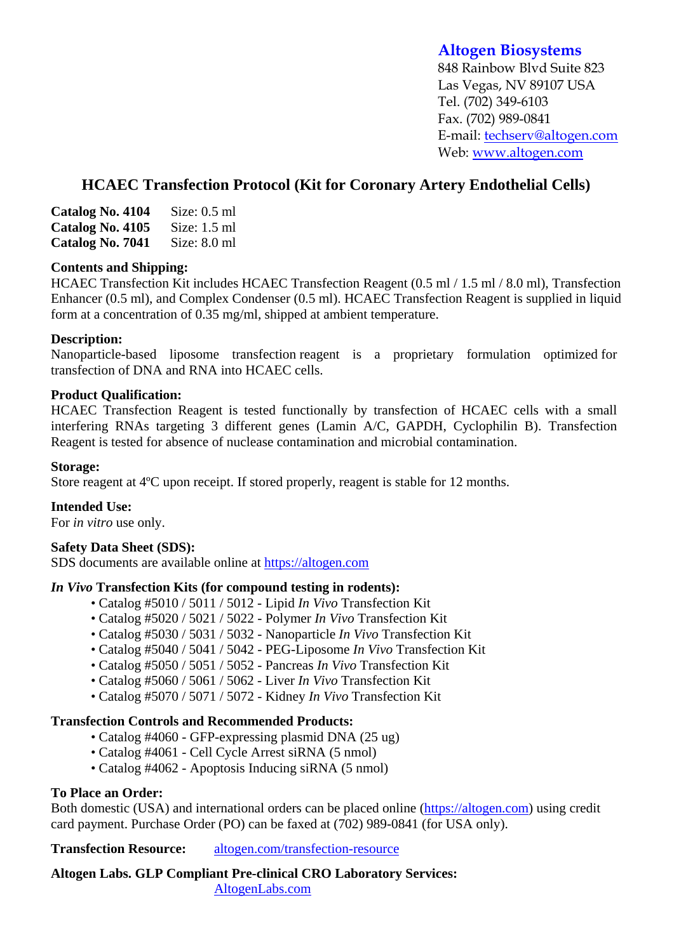# **Altogen Biosystems**

848 Rainbow Blvd Suite 823 Las Vegas, NV 89107 USA Tel. (702) 349-6103 Fax. (702) 989-0841 E-mail: techserv@altogen.com Web: www.altogen.com

# **HCAEC Transfection Protocol (Kit for Coronary Artery Endothelial Cells)**

| Catalog No. 4104 | Size: $0.5$ ml |
|------------------|----------------|
| Catalog No. 4105 | Size: $1.5$ ml |
| Catalog No. 7041 | Size: $8.0$ ml |

### **Contents and Shipping:**

HCAEC Transfection Kit includes HCAEC Transfection Reagent (0.5 ml / 1.5 ml / 8.0 ml), Transfection Enhancer (0.5 ml), and Complex Condenser (0.5 ml). HCAEC Transfection Reagent is supplied in liquid form at a concentration of 0.35 mg/ml, shipped at ambient temperature.

## **Description:**

Nanoparticle-based liposome transfection reagent is a proprietary formulation optimized for transfection of DNA and RNA into HCAEC cells.

### **Product Qualification:**

HCAEC Transfection Reagent is tested functionally by transfection of HCAEC cells with a small interfering RNAs targeting 3 different genes (Lamin A/C, GAPDH, Cyclophilin B). Transfection Reagent is tested for absence of nuclease contamination and microbial contamination.

### **Storage:**

Store reagent at 4ºC upon receipt. If stored properly, reagent is stable for 12 months.

### **Intended Use:**

For *in vitro* use only.

### **Safety Data Sheet (SDS):**

SDS documents are available online at https://altogen.com

### *In Vivo* **Transfection Kits (for compound testing in rodents):**

- Catalog #5010 / 5011 / 5012 Lipid *In Vivo* Transfection Kit
- Catalog #5020 / 5021 / 5022 Polymer *In Vivo* Transfection Kit
- Catalog #5030 / 5031 / 5032 Nanoparticle *In Vivo* Transfection Kit
- Catalog #5040 / 5041 / 5042 PEG-Liposome *In Vivo* Transfection Kit
- Catalog #5050 / 5051 / 5052 Pancreas *In Vivo* Transfection Kit
- Catalog #5060 / 5061 / 5062 Liver *In Vivo* Transfection Kit
- Catalog #5070 / 5071 / 5072 Kidney *In Vivo* Transfection Kit

# **Transfection Controls and Recommended Products:**

- Catalog #4060 GFP-expressing plasmid DNA (25 ug)
- Catalog #4061 Cell Cycle Arrest siRNA (5 nmol)
- Catalog #4062 Apoptosis Inducing siRNA (5 nmol)

# **To Place an Order:**

Both domestic (USA) and international orders can be placed online (https://altogen.com) using credit card payment. Purchase Order (PO) can be faxed at (702) 989-0841 (for USA only).

**Transfection Resource:** altogen.com/transfection-resource

**Altogen Labs. GLP Compliant Pre-clinical CRO Laboratory Services:**  AltogenLabs.com